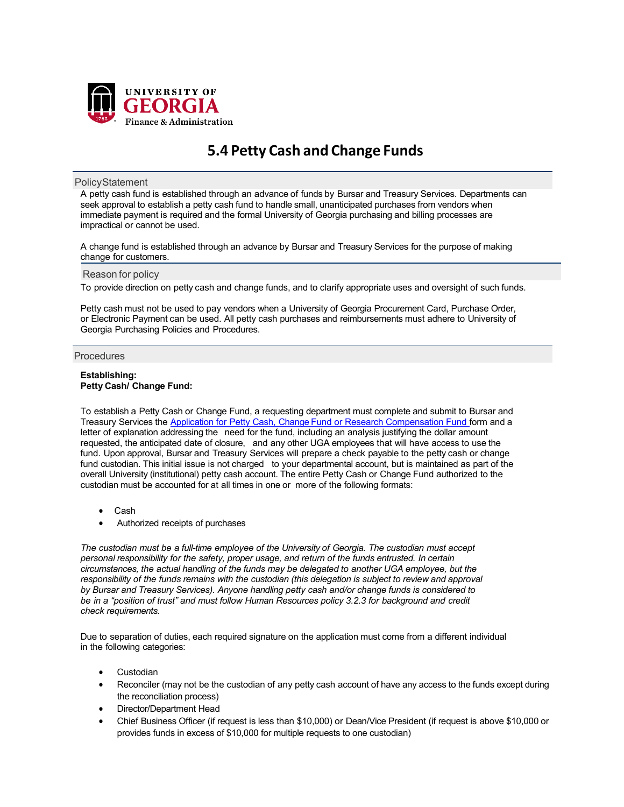

# **5.4 Petty Cash and Change Funds**

## **PolicyStatement**

A petty cash fund is established through an advance of funds by Bursar and Treasury Services. Departments can seek approval to establish a petty cash fund to handle small, unanticipated purchases from vendors when immediate payment is required and the formal University of Georgia purchasing and billing processes are impractical or cannot be used.

A change fund is established through an advance by Bursar and Treasury Services for the purpose of making change for customers.

## Reason for policy

To provide direction on petty cash and change funds, and to clarify appropriate uses and oversight of such funds.

Petty cash must not be used to pay vendors when a University of Georgia Procurement Card, Purchase Order, or Electronic Payment can be used. All petty cash purchases and reimbursements must adhere to University of Georgia Purchasing Policies and Procedures.

## **Procedures**

#### **Establishing: Petty Cash/ Change Fund:**

To establish a Petty Cash or Change Fund, a requesting department must complete and submit to Bursar and Treasury Services the Application for Petty Cash, Change Fund or [Research Compensation](http://busfin.uga.edu/bursar/forms_petty_cash_application.pdf) Fund form and a letter of explanation addressing the need for the fund, including an analysis justifying the dollar amount requested, the anticipated date of closure, and any other UGA employees that will have access to use the fund. Upon approval, Bursar and Treasury Services will prepare a check payable to the petty cash or change fund custodian. This initial issue is not charged to your departmental account, but is maintained as part of the overall University (institutional) petty cash account. The entire Petty Cash or Change Fund authorized to the custodian must be accounted for at all times in one or more of the following formats:

- Cash
- Authorized receipts of purchases

*The custodian must be a full-time employee of the University of Georgia. The custodian must accept personal responsibility for the safety, proper usage, and return of the funds entrusted. In certain circumstances, the actual handling of the funds may be delegated to another UGA employee, but the responsibility of the funds remains with the custodian (this delegation is subject to review and approval by Bursar and Treasury Services). Anyone handling petty cash and/or change funds is considered to be in a "position of trust" and must follow Human Resources policy 3.2.3 for background and credit check requirements.*

Due to separation of duties, each required signature on the application must come from a different individual in the following categories:

- **Custodian**
- Reconciler (may not be the custodian of any petty cash account of have any access to the funds except during the reconciliation process)
- Director/Department Head
- Chief Business Officer (if request is less than \$10,000) or Dean/Vice President (if request is above \$10,000 or provides funds in excess of \$10,000 for multiple requests to one custodian)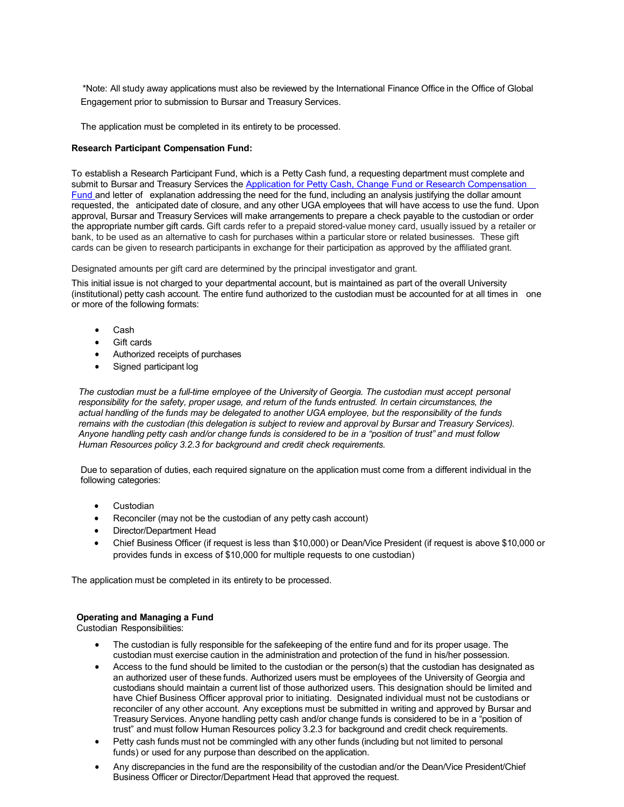\*Note: All study away applications must also be reviewed by the International Finance Office in the Office of Global Engagement prior to submission to Bursar and Treasury Services.

The application must be completed in its entirety to be processed.

## **Research Participant Compensation Fund:**

To establish a Research Participant Fund, which is a Petty Cash fund, a requesting department must complete and submit to Bursar and Treasury Services the Application for Petty Cash, Change Fund or Research Compensation [Fund](http://busfin.uga.edu/bursar/forms_petty_cash_application.pdf) and letter of explanation addressing the need for the fund, including an analysis justifying the dollar amount requested, the anticipated date of closure, and any other UGA employees that will have access to use the fund. Upon approval, Bursar and Treasury Services will make arrangements to prepare a check payable to the custodian or order the appropriate number gift cards. Gift cards refer to a prepaid stored-value money card, usually issued by a retailer or bank, to be used as an alternative to cash for purchases within a particular store or related businesses. These gift cards can be given to research participants in exchange for their participation as approved by the affiliated grant.

Designated amounts per gift card are determined by the principal investigator and grant.

This initial issue is not charged to your departmental account, but is maintained as part of the overall University (institutional) petty cash account. The entire fund authorized to the custodian must be accounted for at all times in one or more of the following formats:

- Cash
- Gift cards
- Authorized receipts of purchases
- Signed participant log

*The custodian must be a full-time employee of the University of Georgia. The custodian must accept personal responsibility for the safety, proper usage, and return of the funds entrusted. In certain circumstances, the* actual handling of the funds may be delegated to another UGA employee, but the responsibility of the funds remains with the custodian (this delegation is subject to review and approval by Bursar and Treasury Services). Anyone handling petty cash and/or change funds is considered to be in a "position of trust" and must follow *Human Resources policy 3.2.3 for background and credit check requirements.*

Due to separation of duties, each required signature on the application must come from a different individual in the following categories:

- **Custodian**
- Reconciler (may not be the custodian of any petty cash account)
- Director/Department Head
- Chief Business Officer (if request is less than \$10,000) or Dean/Vice President (if request is above \$10,000 or provides funds in excess of \$10,000 for multiple requests to one custodian)

The application must be completed in its entirety to be processed.

## **Operating and Managing a Fund**

Custodian Responsibilities:

- The custodian is fully responsible for the safekeeping of the entire fund and for its proper usage. The custodian must exercise caution in the administration and protection of the fund in his/her possession.
- Access to the fund should be limited to the custodian or the person(s) that the custodian has designated as an authorized user of these funds. Authorized users must be employees of the University of Georgia and custodians should maintain a current list of those authorized users. This designation should be limited and have Chief Business Officer approval prior to initiating. Designated individual must not be custodians or reconciler of any other account. Any exceptions must be submitted in writing and approved by Bursar and Treasury Services. Anyone handling petty cash and/or change funds is considered to be in a "position of trust" and must follow Human Resources policy 3.2.3 for background and credit check requirements.
- Petty cash funds must not be commingled with any other funds (including but not limited to personal funds) or used for any purpose than described on the application.
- Any discrepancies in the fund are the responsibility of the custodian and/or the Dean/Vice President/Chief Business Officer or Director/Department Head that approved the request.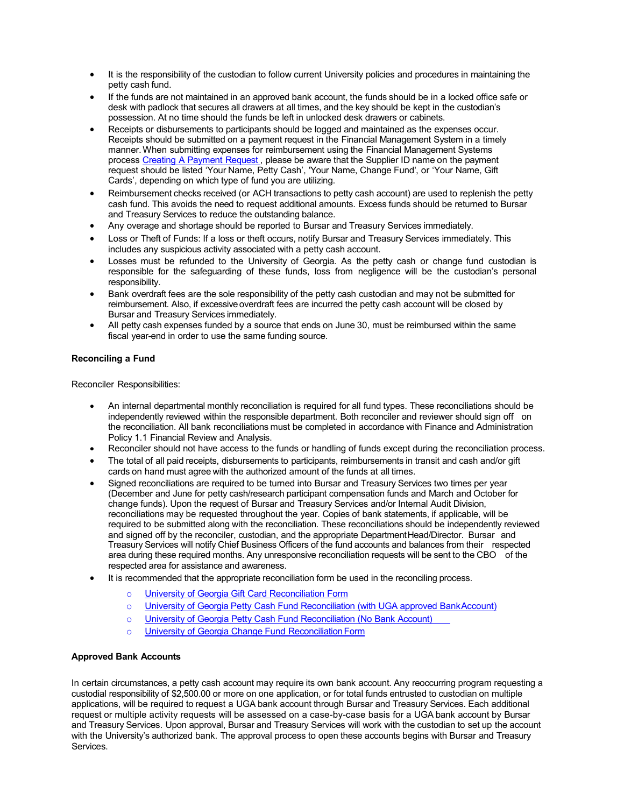- It is the responsibility of the custodian to follow current University policies and procedures in maintaining the petty cash fund.
- If the funds are not maintained in an approved bank account, the funds should be in a locked office safe or desk with padlock that secures all drawers at all times, and the key should be kept in the custodian's possession. At no time should the funds be left in unlocked desk drawers or cabinets.
- Receipts or disbursements to participants should be logged and maintained as the expenses occur. Receipts should be submitted on a payment request in the Financial Management System in a timely manner.When submitting expenses for reimbursement using the Financial Management Systems process Creating A [Payment](https://training.onesource.uga.edu/UPK_Training/OneSourceOL/Publishing%20Content/PlayerPackage/index.html?Guid=59982781-c0ae-4faf-b9c3-98e706437c4d) Request, please be aware that the Supplier ID name on the payment request should be listed 'Your Name, Petty Cash', 'Your Name, Change Fund', or 'Your Name, Gift Cards', depending on which type of fund you are utilizing.
- Reimbursement checks received (or ACH transactions to petty cash account) are used to replenish the petty cash fund. This avoids the need to request additional amounts. Excess funds should be returned to Bursar and Treasury Services to reduce the outstanding balance.
- Any overage and shortage should be reported to Bursar and Treasury Services immediately.
- Loss or Theft of Funds: If a loss or theft occurs, notify Bursar and Treasury Services immediately. This includes any suspicious activity associated with a petty cash account.
- Losses must be refunded to the University of Georgia. As the petty cash or change fund custodian is responsible for the safeguarding of these funds, loss from negligence will be the custodian's personal responsibility.
- Bank overdraft fees are the sole responsibility of the petty cash custodian and may not be submitted for reimbursement. Also, if excessive overdraft fees are incurred the petty cash account will be closed by Bursar and Treasury Services immediately.
- All petty cash expenses funded by a source that ends on June 30, must be reimbursed within the same fiscal year-end in order to use the same funding source.

## **Reconciling a Fund**

Reconciler Responsibilities:

- An internal departmental monthly reconciliation is required for all fund types. These reconciliations should be independently reviewed within the responsible department. Both reconciler and reviewer should sign off on the reconciliation. All bank reconciliations must be completed in accordance with Finance and Administration Policy 1.1 Financial Review and Analysis.
- Reconciler should not have access to the funds or handling of funds except during the reconciliation process.
- The total of all paid receipts, disbursements to participants, reimbursements in transit and cash and/or gift cards on hand must agree with the authorized amount of the funds at all times.
- Signed reconciliations are required to be turned into Bursar and Treasury Services two times per year (December and June for petty cash/research participant compensation funds and March and October for change funds). Upon the request of Bursar and Treasury Services and/or Internal Audit Division, reconciliations may be requested throughout the year. Copies of bank statements, if applicable, will be required to be submitted along with the reconciliation. These reconciliations should be independently reviewed and signed off by the reconciler, custodian, and the appropriate Department Head/Director. Bursar and Treasury Services will notify Chief Business Officers of the fund accounts and balances from their respected area during these required months. Any unresponsive reconciliation requests will be sent to the CBO of the respected area for assistance and awareness.
- It is recommended that the appropriate reconciliation form be used in the reconciling process.
	- o University of Georgia Gift [Card Reconciliation](https://busfin.uga.edu/bursar/forms_uga_gift_card_recon.pdf) Form
	- o University of Georgia Petty Cash [Fund Reconciliation](http://busfin.uga.edu/bursar/forms_uga_petty_cash_fund_recon_bank.pdf) (with UGA approved BankAccount)
	- o University of Georgia Petty Cash [Fund Reconciliation](http://busfin.uga.edu/bursar/forms_uga_petty_cash_fund_recon.pdf) (No Bank Account)
	- o University of Georgia Change Fund [ReconciliationForm](http://busfin.uga.edu/bursar/forms_uga_change_fund_recon.pdf)

## **Approved Bank Accounts**

In certain circumstances, a petty cash account may require its own bank account. Any reoccurring program requesting a custodial responsibility of \$2,500.00 or more on one application, or for total funds entrusted to custodian on multiple applications, will be required to request a UGA bank account through Bursar and Treasury Services. Each additional request or multiple activity requests will be assessed on a case-by-case basis for a UGA bank account by Bursar and Treasury Services. Upon approval, Bursar and Treasury Services will work with the custodian to set up the account with the University's authorized bank. The approval process to open these accounts begins with Bursar and Treasury Services.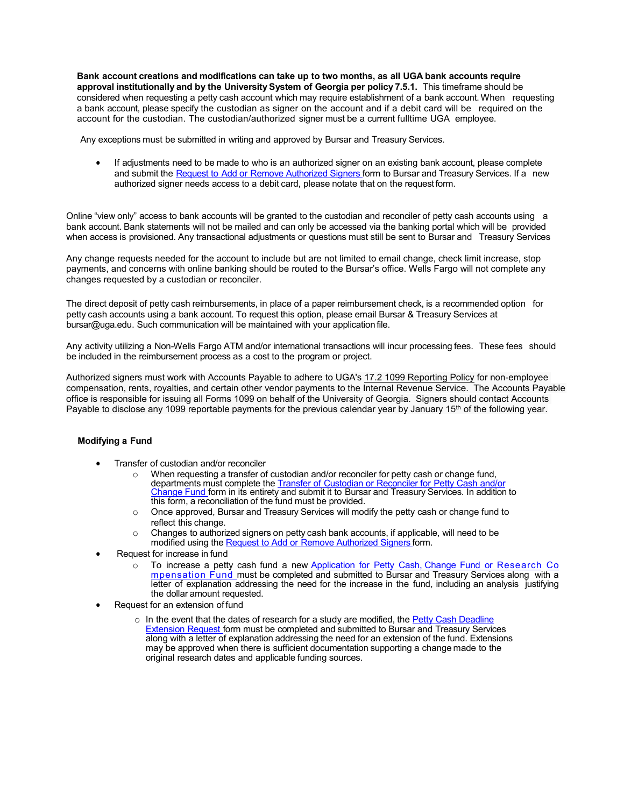**Bank account creations and modifications can take up to two months, as all UGA bank accounts require approval institutionally and by the University System of Georgia per policy 7.5.1.** This timeframe should be considered when requesting a petty cash account which may require establishment of a bank account. When requesting a bank account, please specify the custodian as signer on the account and if a debit card will be required on the account for the custodian. The custodian/authorized signer must be a current fulltime UGA employee.

Any exceptions must be submitted in writing and approved by Bursar and Treasury Services.

• If adjustments need to be made to who is an authorized signer on an existing bank account, please complete and submit the [Request](http://busfin.uga.edu/bursar/forms_petty_cash_auth_signers.pdf) to Add or Remove [Authorized](http://busfin.uga.edu/bursar/forms_petty_cash_auth_signers.pdf) Signers form to Bursar and Treasury Services. If a new authorized signer needs access to a debit card, please notate that on the requestform.

Online "view only" access to bank accounts will be granted to the custodian and reconciler of petty cash accounts using a bank account. Bank statements will not be mailed and can only be accessed via the banking portal which will be provided when access is provisioned. Any transactional adjustments or questions must still be sent to Bursar and Treasury Services

Any change requests needed for the account to include but are not limited to email change, check limit increase, stop payments, and concerns with online banking should be routed to the Bursar's office. Wells Fargo will not complete any changes requested by a custodian or reconciler.

The direct deposit of petty cash reimbursements, in place of a paper reimbursement check, is a recommended option for petty cash accounts using a bank account. To request this option, please email Bursar & Treasury Services a[t](mailto:bursar@uga.edu) [bursar@uga.edu.](mailto:bursar@uga.edu) Such communication will be maintained with your application file.

Any activity utilizing a Non-Wells Fargo ATM and/or international transactions will incur processing fees. These fees should be included in the reimbursement process as a cost to the program or project.

Authorized signers must work with Accounts Payable to adhere to UGA's [17.2 1099 Reporting Policy](https://policies.uga.edu/pdf/1099_reporting.pdf) for non-employee compensation, rents, royalties, and certain other vendor payments to the Internal Revenue Service. The Accounts Payable office is responsible for issuing all Forms 1099 on behalf of the University of Georgia. Signers should contact Accounts Payable to disclose any 1099 reportable payments for the previous calendar year by January 15<sup>th</sup> of the following year.

## **Modifying a Fund**

- Transfer of custodian and/or reconciler
	- o When requesting a transfer of custodian and/or reconciler for petty cash or change fund, departments must complete the Transfer of Custodian or [Reconciler](https://busfin.uga.edu/bursar/forms_petty_cash_transfer_custodian_reconciler.pdf) for Petty Cash and/o[r](http://busfin.uga.edu/bursar/forms_petty_cash_transfer_custodian.pdf) [Change](http://busfin.uga.edu/bursar/forms_petty_cash_transfer_custodian.pdf) Fund form in its entirety and submit it to Bursar and Treasury Services. In addition to this form, a reconciliation of the fund must be provided.
	- $\circ$  Once approved, Bursar and Treasury Services will modify the petty cash or change fund to reflect this change.
	- o Changes to authorized signers on petty cash bank accounts, if applicable, will need to be modified using the Request to Add or Remove [Authorized](http://busfin.uga.edu/bursar/forms_petty_cash_auth_signers.pdf) Signers form.
- Request for increase in fund
	- To increase a petty cash fund a new Application for Petty Cash, Change Fund or [Research](http://busfin.uga.edu/bursar/forms_petty_cash_application.pdf) [Co](http://busfin.uga.edu/bursar/forms_petty_cash_application.pdf) [mpensation](http://busfin.uga.edu/bursar/forms_petty_cash_application.pdf) Fund must be completed and submitted to Bursar and Treasury Services along with a letter of explanation addressing the need for the increase in the fund, including an analysis justifying the dollar amount requested.
- Request for an extension of fund
	- o In the event that the dates of research for a study are modified, the Petty [Cash Deadline](http://busfin.uga.edu/bursar/forms_petty_cash_deadline_ext.pdf) [Extension](http://busfin.uga.edu/bursar/forms_petty_cash_deadline_ext.pdf) [Request](http://busfin.uga.edu/bursar/forms_petty_cash_deadline_ext.pdf) form must be completed and submitted to Bursar and Treasury Services along with a letter of explanation addressing the need for an extension of the fund. Extensions may be approved when there is sufficient documentation supporting a change made to the original research dates and applicable funding sources.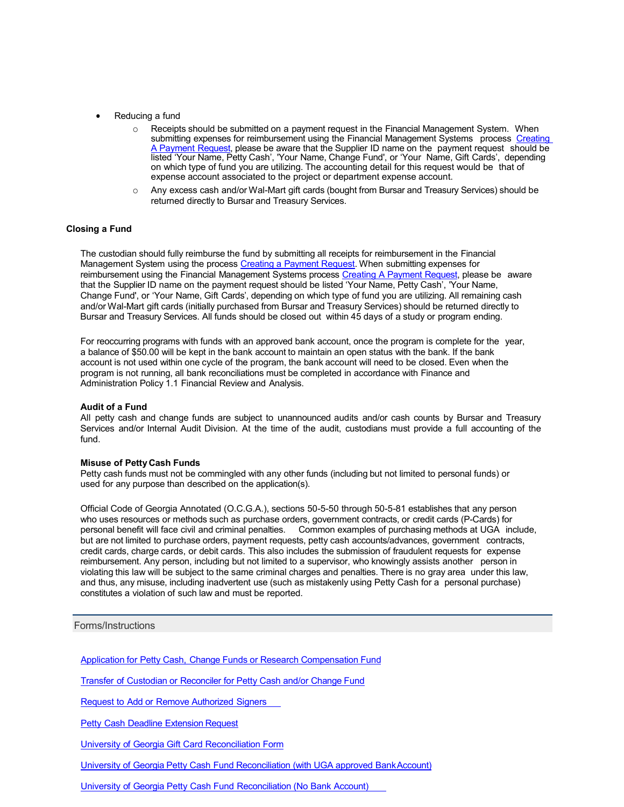- Reducing a fund
	- $\circ$  Receipts should be submitted on a payment request in the Financial Management System. When submitting expenses for reimbursement using the Financial Management Systems process [Creating](https://training.onesource.uga.edu/UPK_Training/OneSourceOL/Publishing%20Content/PlayerPackage/index.html?Guid=59982781-c0ae-4faf-b9c3-98e706437c4d) A [Payment](https://training.onesource.uga.edu/UPK_Training/OneSourceOL/Publishing%20Content/PlayerPackage/index.html?Guid=59982781-c0ae-4faf-b9c3-98e706437c4d) Request, please be aware that the Supplier ID name on the payment request should be listed 'Your Name, Petty Cash', 'Your Name, Change Fund', or 'Your Name, Gift Cards', depending on which type of fund you are utilizing. The accounting detail for this request would be that of expense account associated to the project or department expense account.
	- Any excess cash and/or Wal-Mart gift cards (bought from Bursar and Treasury Services) should be returned directly to Bursar and Treasury Services.

## **Closing a Fund**

The custodian should fully reimburse the fund by submitting all receipts for reimbursement in the Financial Management System using the process Creating a Payment [Request.](https://training.onesource.uga.edu/UPK_Training/OneSourceOL/Publishing%20Content/PlayerPackage/index.html?Guid=59982781-c0ae-4faf-b9c3-98e706437c4d) When submitting expenses for reimbursement using the Financial Management Systems process Creating [A Payment](https://training.onesource.uga.edu/UPK_Training/OneSourceOL/Publishing%20Content/PlayerPackage/index.html?Guid=59982781-c0ae-4faf-b9c3-98e706437c4d) Request, please be aware that the Supplier ID name on the payment request should be listed 'Your Name, Petty Cash', 'Your Name, Change Fund', or 'Your Name, Gift Cards', depending on which type of fund you are utilizing. All remaining cash and/or Wal-Mart gift cards (initially purchased from Bursar and Treasury Services) should be returned directly to Bursar and Treasury Services. All funds should be closed out within 45 days of a study or program ending.

For reoccurring programs with funds with an approved bank account, once the program is complete for the year, a balance of \$50.00 will be kept in the bank account to maintain an open status with the bank. If the bank account is not used within one cycle of the program, the bank account will need to be closed. Even when the program is not running, all bank reconciliations must be completed in accordance with Finance and Administration Policy 1.1 Financial Review and Analysis.

## **Audit of a Fund**

All petty cash and change funds are subject to unannounced audits and/or cash counts by Bursar and Treasury Services and/or Internal Audit Division. At the time of the audit, custodians must provide a full accounting of the fund.

#### **Misuse of Petty Cash Funds**

Petty cash funds must not be commingled with any other funds (including but not limited to personal funds) or used for any purpose than described on the application(s).

Official Code of Georgia Annotated (O.C.G.A.), sections 50-5-50 through 50-5-81 establishes that any person who uses resources or methods such as purchase orders, government contracts, or credit cards (P-Cards) for personal benefit will face civil and criminal penalties. Common examples of purchasing methods at UGA include, but are not limited to purchase orders, payment requests, petty cash accounts/advances, government contracts, credit cards, charge cards, or debit cards. This also includes the submission of fraudulent requests for expense reimbursement. Any person, including but not limited to a supervisor, who knowingly assists another person in violating this law will be subject to the same criminal charges and penalties. There is no gray area under this law, and thus, any misuse, including inadvertent use (such as mistakenly using Petty Cash for a personal purchase) constitutes a violation of such law and must be reported.

## Forms/Instructions

Application for Petty Cash, Change Funds or Research [Compensation](http://busfin.uga.edu/bursar/forms_petty_cash_application.pdf) Fund

Transfer of Custodian or Reconciler for [Petty Cash and/or](http://busfin.uga.edu/bursar/forms_petty_cash_transfer_custodian.pdf) Change Fund

Request to Add or Remove [Authorized](http://busfin.uga.edu/bursar/forms_petty_cash_auth_signers.pdf) Signers

**Petty Cash Deadline [Extension](http://busfin.uga.edu/bursar/forms_petty_cash_deadline_ext.pdf) Request** 

University of Georgia Gift Card [Reconciliation](https://busfin.uga.edu/bursar/forms_uga_gift_card_recon.pdf) Form

University of Georgia Petty Cash Fund Reconciliation (with UGA approved [BankAccount\)](http://busfin.uga.edu/bursar/forms_uga_petty_cash_fund_recon_bank.pdf)

University of Georgia Petty Cash Fund [Reconciliation](http://busfin.uga.edu/bursar/forms_uga_petty_cash_fund_recon.pdf) (No Bank Account)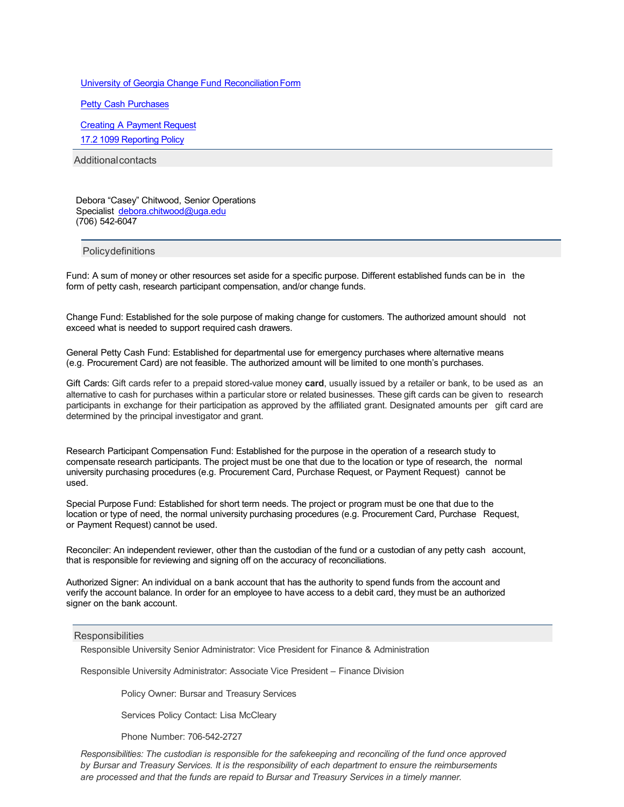University of Georgia Change Fund [ReconciliationForm](http://busfin.uga.edu/bursar/forms_uga_change_fund_recon.pdf)

Petty Cash [Purchases](https://policies.uga.edu/pdf/petty_cash_purchases.pdf)

Creating A [Payment](https://training.onesource.uga.edu/UPK_Training/OneSourceOL/Publishing%20Content/PlayerPackage/index.html?Guid=59982781-c0ae-4faf-b9c3-98e706437c4d) Request

[17.2 1099 Reporting Policy](https://policies.uga.edu/pdf/1099_reporting.pdf)

Additionalcontacts

Debora "Casey" Chitwood, Senior Operations Speciali[st](mailto:tepayne@uga.edu) [debora.chitwood@uga.edu](mailto:debora.chitwood@uga.edu) (706) 542-6047

**Policydefinitions** 

Fund: A sum of money or other resources set aside for a specific purpose. Different established funds can be in the form of petty cash, research participant compensation, and/or change funds.

Change Fund: Established for the sole purpose of making change for customers. The authorized amount should not exceed what is needed to support required cash drawers.

General Petty Cash Fund: Established for departmental use for emergency purchases where alternative means (e.g. Procurement Card) are not feasible. The authorized amount will be limited to one month's purchases.

Gift Cards: Gift cards refer to a prepaid stored-value money **card**, usually issued by a retailer or bank, to be used as an alternative to cash for purchases within a particular store or related businesses. These gift cards can be given to research participants in exchange for their participation as approved by the affiliated grant. Designated amounts per gift card are determined by the principal investigator and grant.

Research Participant Compensation Fund: Established for the purpose in the operation of a research study to compensate research participants. The project must be one that due to the location or type of research, the normal university purchasing procedures (e.g. Procurement Card, Purchase Request, or Payment Request) cannot be used.

Special Purpose Fund: Established for short term needs. The project or program must be one that due to the location or type of need, the normal university purchasing procedures (e.g. Procurement Card, Purchase Request, or Payment Request) cannot be used.

Reconciler: An independent reviewer, other than the custodian of the fund or a custodian of any petty cash account, that is responsible for reviewing and signing off on the accuracy of reconciliations.

Authorized Signer: An individual on a bank account that has the authority to spend funds from the account and verify the account balance. In order for an employee to have access to a debit card, they must be an authorized signer on the bank account.

#### **Responsibilities**

Responsible University Senior Administrator: Vice President for Finance & Administration

Responsible University Administrator: Associate Vice President – Finance Division

Policy Owner: Bursar and Treasury Services

Services Policy Contact: Lisa McCleary

Phone Number: 706-542-2727

*Responsibilities: The custodian is responsible for the safekeeping and reconciling of the fund once approved by Bursar and Treasury Services. It is the responsibility of each department to ensure the reimbursements are processed and that the funds are repaid to Bursar and Treasury Services in a timely manner.*